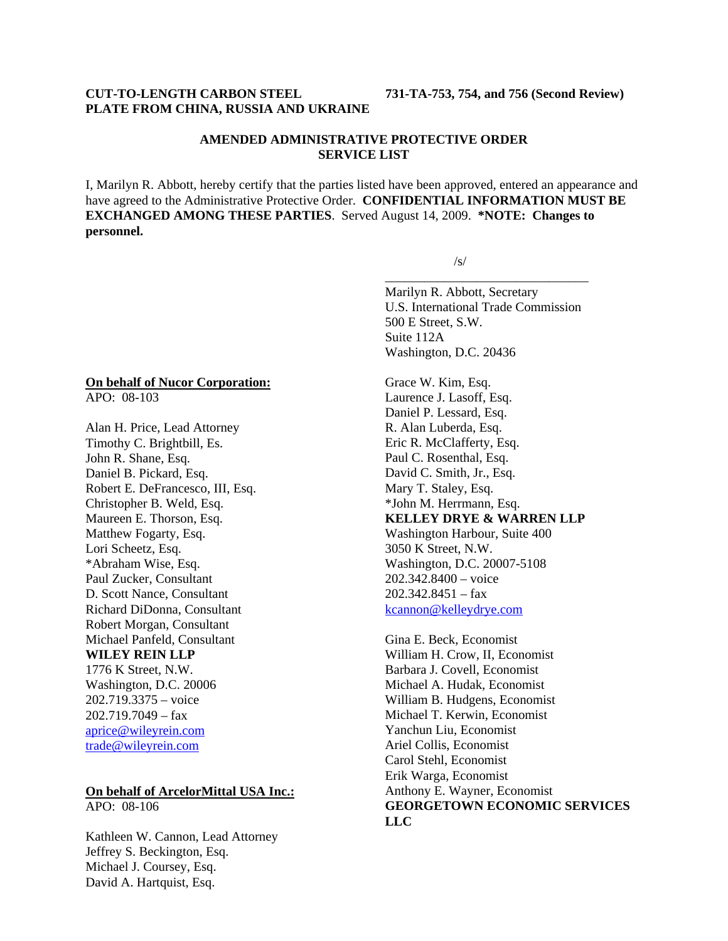#### **CUT-TO-LENGTH CARBON STEEL 731-TA-753, 754, and 756 (Second Review) PLATE FROM CHINA, RUSSIA AND UKRAINE**

#### **AMENDED ADMINISTRATIVE PROTECTIVE ORDER SERVICE LIST**

I, Marilyn R. Abbott, hereby certify that the parties listed have been approved, entered an appearance and have agreed to the Administrative Protective Order. **CONFIDENTIAL INFORMATION MUST BE EXCHANGED AMONG THESE PARTIES**. Served August 14, 2009. **\*NOTE: Changes to personnel.** 

 $\overline{\phantom{a}}$  , and the contract of the contract of the contract of the contract of the contract of the contract of the contract of the contract of the contract of the contract of the contract of the contract of the contrac

 $\sqrt{s}$ /s/

Marilyn R. Abbott, Secretary U.S. International Trade Commission 500 E Street, S.W. Suite 112A Washington, D.C. 20436

### Grace W. Kim, Esq. Laurence J. Lasoff, Esq. Daniel P. Lessard, Esq. R. Alan Luberda, Esq. Eric R. McClafferty, Esq. Paul C. Rosenthal, Esq. David C. Smith, Jr., Esq. Mary T. Staley, Esq. \*John M. Herrmann, Esq. **KELLEY DRYE & WARREN LLP** Washington Harbour, Suite 400 3050 K Street, N.W. Washington, D.C. 20007-5108 202.342.8400 – voice 202.342.8451 – fax kcannon@kelleydrye.com

Gina E. Beck, Economist William H. Crow, II, Economist Barbara J. Covell, Economist Michael A. Hudak, Economist William B. Hudgens, Economist Michael T. Kerwin, Economist Yanchun Liu, Economist Ariel Collis, Economist Carol Stehl, Economist Erik Warga, Economist Anthony E. Wayner, Economist **GEORGETOWN ECONOMIC SERVICES LLC**

# **On behalf of Nucor Corporation:**

APO: 08-103

Alan H. Price, Lead Attorney Timothy C. Brightbill, Es. John R. Shane, Esq. Daniel B. Pickard, Esq. Robert E. DeFrancesco, III, Esq. Christopher B. Weld, Esq. Maureen E. Thorson, Esq. Matthew Fogarty, Esq. Lori Scheetz, Esq. \*Abraham Wise, Esq. Paul Zucker, Consultant D. Scott Nance, Consultant Richard DiDonna, Consultant Robert Morgan, Consultant Michael Panfeld, Consultant

### **WILEY REIN LLP**

1776 K Street, N.W. Washington, D.C. 20006 202.719.3375 – voice  $202.719.7049 - fax$ aprice@wileyrein.com trade@wileyrein.com

#### **On behalf of ArcelorMittal USA Inc.:** APO: 08-106

Kathleen W. Cannon, Lead Attorney Jeffrey S. Beckington, Esq. Michael J. Coursey, Esq. David A. Hartquist, Esq.